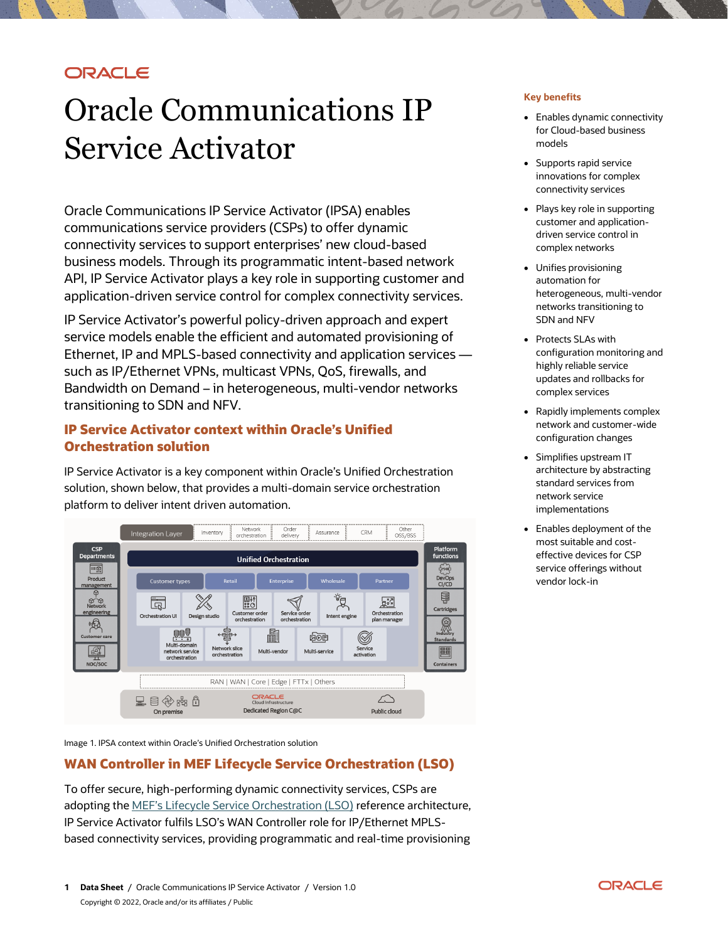# **ORACLE**

# Oracle Communications IP Service Activator

Oracle Communications IP Service Activator (IPSA) enables communications service providers (CSPs) to offer dynamic connectivity services to support enterprises' new cloud-based business models. Through its programmatic intent-based network API, IP Service Activator plays a key role in supporting customer and application-driven service control for complex connectivity services.

IP Service Activator's powerful policy-driven approach and expert service models enable the efficient and automated provisioning of Ethernet, IP and MPLS-based connectivity and application services such as IP/Ethernet VPNs, multicast VPNs, QoS, firewalls, and Bandwidth on Demand – in heterogeneous, multi-vendor networks transitioning to SDN and NFV.

# **IP Service Activator context within Oracle's Unified Orchestration solution**

IP Service Activator is a key component within Oracle's Unified Orchestration solution, shown below, that provides a multi-domain service orchestration platform to deliver intent driven automation.



Image 1. IPSA context within Oracle's Unified Orchestration solution

# **WAN Controller in MEF Lifecycle Service Orchestration (LSO)**

To offer secure, high-performing dynamic connectivity services, CSPs are adopting the [MEF's Lifecycle Service Orchestration \(LSO\)](https://www.mef.net/) reference architecture, IP Service Activator fulfils LSO's WAN Controller role for IP/Ethernet MPLSbased connectivity services, providing programmatic and real-time provisioning

#### **Key benefits**

- Enables dynamic connectivity for Cloud-based business models
- Supports rapid service innovations for complex connectivity services
- Plays key role in supporting customer and applicationdriven service control in complex networks
- Unifies provisioning automation for heterogeneous, multi-vendor networks transitioning to SDN and NFV
- Protects SLAs with configuration monitoring and highly reliable service updates and rollbacks for complex services
- Rapidly implements complex network and customer-wide configuration changes
- Simplifies upstream IT architecture by abstracting standard services from network service implementations
- Enables deployment of the most suitable and costeffective devices for CSP service offerings without vendor lock-in

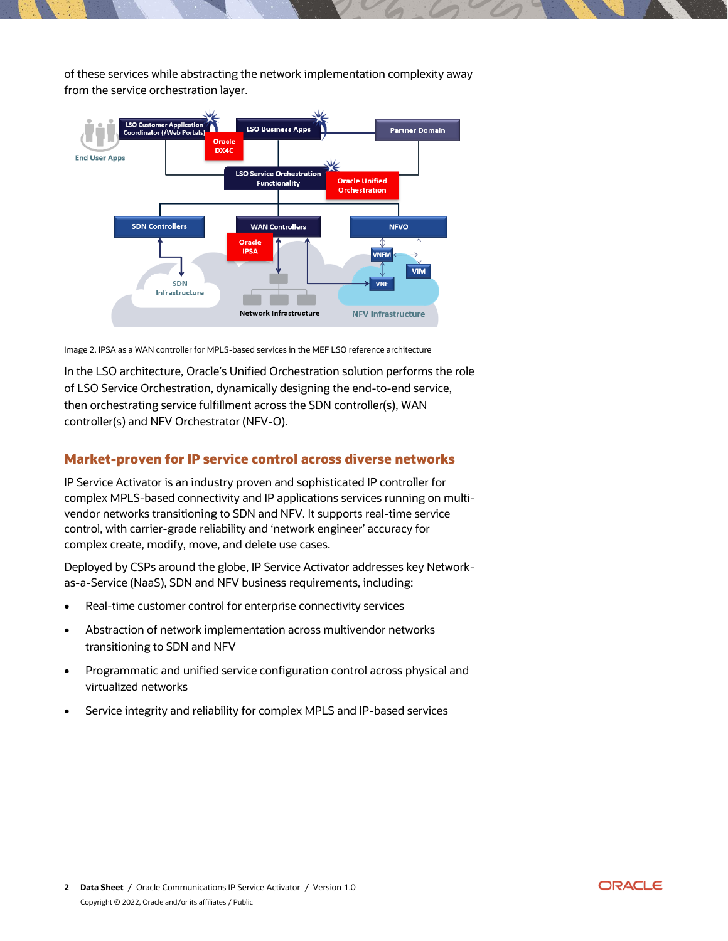of these services while abstracting the network implementation complexity away from the service orchestration layer.



Image 2. IPSA as a WAN controller for MPLS-based services in the MEF LSO reference architecture

In the LSO architecture, Oracle's Unified Orchestration solution performs the role of LSO Service Orchestration, dynamically designing the end-to-end service, then orchestrating service fulfillment across the SDN controller(s), WAN controller(s) and NFV Orchestrator (NFV-O).

## **Market-proven for IP service control across diverse networks**

IP Service Activator is an industry proven and sophisticated IP controller for complex MPLS-based connectivity and IP applications services running on multivendor networks transitioning to SDN and NFV. It supports real-time service control, with carrier-grade reliability and 'network engineer' accuracy for complex create, modify, move, and delete use cases.

Deployed by CSPs around the globe, IP Service Activator addresses key Networkas-a-Service (NaaS), SDN and NFV business requirements, including:

- Real-time customer control for enterprise connectivity services
- Abstraction of network implementation across multivendor networks transitioning to SDN and NFV
- Programmatic and unified service configuration control across physical and virtualized networks
- Service integrity and reliability for complex MPLS and IP-based services

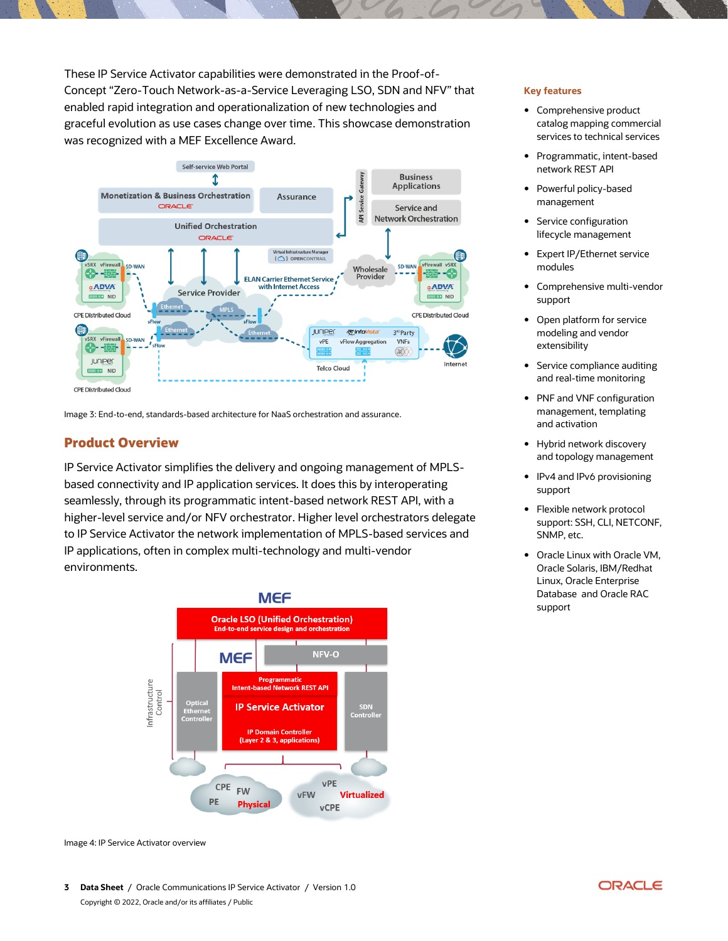These IP Service Activator capabilities were demonstrated in the Proof-of-Concept "Zero-Touch Network-as-a-Service Leveraging LSO, SDN and NFV" that enabled rapid integration and operationalization of new technologies and graceful evolution as use cases change over time. This showcase demonstration was recognized with a MEF Excellence Award.



Image 3: End-to-end, standards-based architecture for NaaS orchestration and assurance.

## **Product Overview**

IP Service Activator simplifies the delivery and ongoing management of MPLSbased connectivity and IP application services. It does this by interoperating seamlessly, through its programmatic intent-based network REST API, with a higher-level service and/or NFV orchestrator. Higher level orchestrators delegate to IP Service Activator the network implementation of MPLS-based services and IP applications, often in complex multi-technology and multi-vendor environments.



Image 4: IP Service Activator overview

**3 Data Sheet** / Oracle Communications IP Service Activator / Version 1.0 Copyright © 2022, Oracle and/or its affiliates / Public

#### **Key features**

- Comprehensive product catalog mapping commercial services to technical services
- Programmatic, intent-based network REST API
- Powerful policy-based management
- Service configuration lifecycle management
- Expert IP/Ethernet service modules
- Comprehensive multi-vendor support
- Open platform for service modeling and vendor extensibility
- Service compliance auditing and real-time monitoring
- PNF and VNF configuration management, templating and activation
- Hybrid network discovery and topology management
- IPv4 and IPv6 provisioning support
- Flexible network protocol support: SSH, CLI, NETCONF, SNMP, etc.
- Oracle Linux with Oracle VM, Oracle Solaris, IBM/Redhat Linux, Oracle Enterprise Database and Oracle RAC support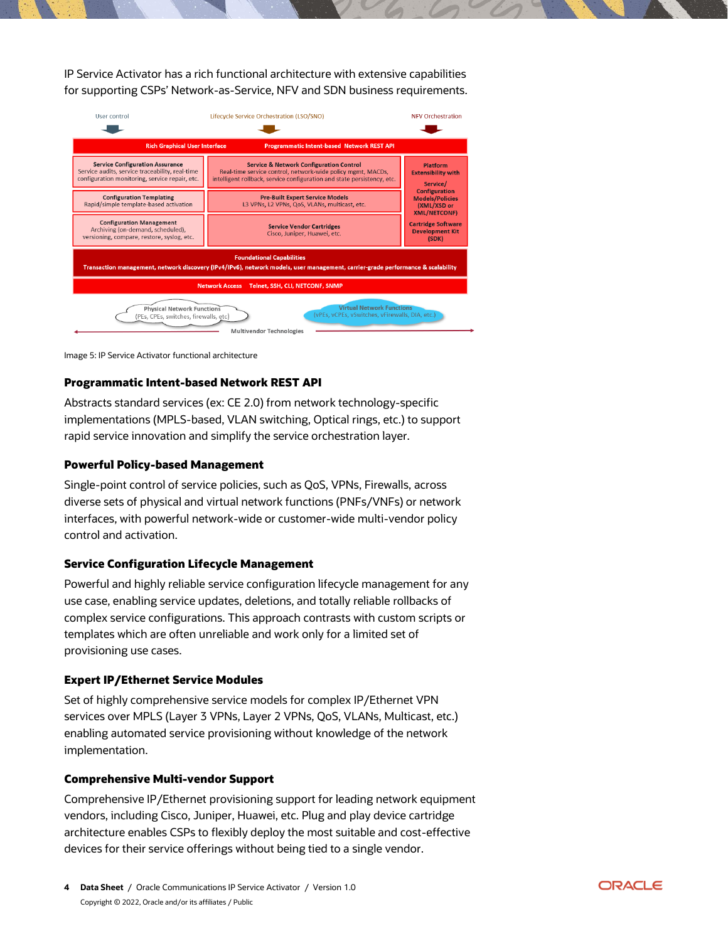IP Service Activator has a rich functional architecture with extensive capabilities for supporting CSPs' Network-as-Service, NFV and SDN business requirements.

| User control                                                                                                                                                                                         | Lifecycle Service Orchestration (LSO/SNO)                                                                                                                                                    | <b>NFV Orchestration</b>                                                                                                                  |
|------------------------------------------------------------------------------------------------------------------------------------------------------------------------------------------------------|----------------------------------------------------------------------------------------------------------------------------------------------------------------------------------------------|-------------------------------------------------------------------------------------------------------------------------------------------|
|                                                                                                                                                                                                      |                                                                                                                                                                                              |                                                                                                                                           |
| <b>Rich Graphical User Interface</b><br><b>Programmatic Intent-based Network REST API</b>                                                                                                            |                                                                                                                                                                                              |                                                                                                                                           |
| <b>Service Configuration Assurance</b><br>Service audits, service traceability, real-time<br>configuration monitoring, service repair, etc.                                                          | <b>Service &amp; Network Configuration Control</b><br>Real-time service control, network-wide policy mgmt, MACDs,<br>intelligent rollback, service configuration and state persistency, etc. | Platform<br><b>Extensibility with</b><br>Service/<br><b>Configuration</b><br><b>Models/Policies</b><br>(XML/XSD or<br><b>XML/NETCONF)</b> |
| <b>Configuration Templating</b><br>Rapid/simple template-based activation                                                                                                                            | <b>Pre-Built Expert Service Models</b><br>L3 VPNs, L2 VPNs, QoS, VLANs, multicast, etc.                                                                                                      |                                                                                                                                           |
| <b>Configuration Management</b><br>Archiving (on-demand, scheduled),<br>versioning, compare, restore, syslog, etc.                                                                                   | <b>Service Vendor Cartridges</b><br>Cisco, Juniper, Huawei, etc.                                                                                                                             | <b>Cartridge Software</b><br><b>Development Kit</b><br>(SDK)                                                                              |
| <b>Foundational Capabilities</b><br>Transaction management, network discovery (IPv4/IPv6), network models, user management, carrier-grade performance & scalability                                  |                                                                                                                                                                                              |                                                                                                                                           |
| <b>Network Access</b><br>Telnet, SSH, CLI, NETCONF, SNMP                                                                                                                                             |                                                                                                                                                                                              |                                                                                                                                           |
| <b>Virtual Network Functions</b><br><b>Physical Network Functions</b><br>(vPEs, vCPEs, vSwitches, vFirewalls, DIA, etc.)<br>(PEs, CPEs, switches, firewalls, etc)<br><b>Multivendor Technologies</b> |                                                                                                                                                                                              |                                                                                                                                           |

Image 5: IP Service Activator functional architecture

### **Programmatic Intent-based Network REST API**

Abstracts standard services (ex: CE 2.0) from network technology-specific implementations (MPLS-based, VLAN switching, Optical rings, etc.) to support rapid service innovation and simplify the service orchestration layer.

#### **Powerful Policy-based Management**

Single-point control of service policies, such as QoS, VPNs, Firewalls, across diverse sets of physical and virtual network functions (PNFs/VNFs) or network interfaces, with powerful network-wide or customer-wide multi-vendor policy control and activation.

### **Service Configuration Lifecycle Management**

Powerful and highly reliable service configuration lifecycle management for any use case, enabling service updates, deletions, and totally reliable rollbacks of complex service configurations. This approach contrasts with custom scripts or templates which are often unreliable and work only for a limited set of provisioning use cases.

#### **Expert IP/Ethernet Service Modules**

Set of highly comprehensive service models for complex IP/Ethernet VPN services over MPLS (Layer 3 VPNs, Layer 2 VPNs, QoS, VLANs, Multicast, etc.) enabling automated service provisioning without knowledge of the network implementation.

#### **Comprehensive Multi-vendor Support**

Comprehensive IP/Ethernet provisioning support for leading network equipment vendors, including Cisco, Juniper, Huawei, etc. Plug and play device cartridge architecture enables CSPs to flexibly deploy the most suitable and cost-effective devices for their service offerings without being tied to a single vendor.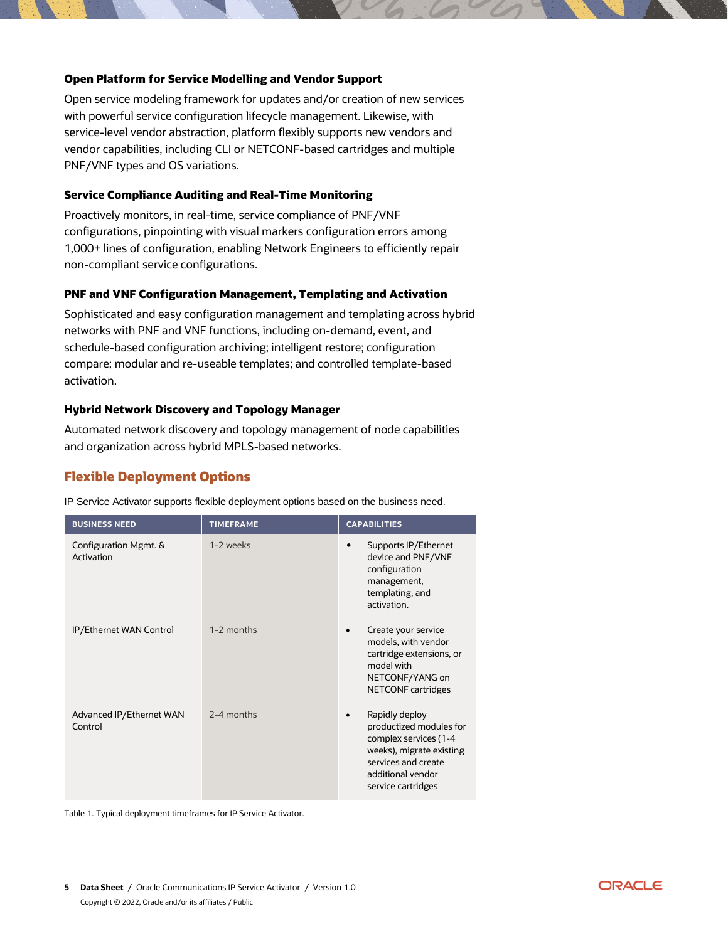### **Open Platform for Service Modelling and Vendor Support**

Open service modeling framework for updates and/or creation of new services with powerful service configuration lifecycle management. Likewise, with service-level vendor abstraction, platform flexibly supports new vendors and vendor capabilities, including CLI or NETCONF-based cartridges and multiple PNF/VNF types and OS variations.

#### **Service Compliance Auditing and Real-Time Monitoring**

Proactively monitors, in real-time, service compliance of PNF/VNF configurations, pinpointing with visual markers configuration errors among 1,000+ lines of configuration, enabling Network Engineers to efficiently repair non-compliant service configurations.

#### **PNF and VNF Configuration Management, Templating and Activation**

Sophisticated and easy configuration management and templating across hybrid networks with PNF and VNF functions, including on-demand, event, and schedule-based configuration archiving; intelligent restore; configuration compare; modular and re-useable templates; and controlled template-based activation.

#### **Hybrid Network Discovery and Topology Manager**

Automated network discovery and topology management of node capabilities and organization across hybrid MPLS-based networks.

## **Flexible Deployment Options**

**BUSINESS NEED TIMEFRAME CAPABILITIES** Configuration Mgmt. & Activation 1-2 weeks **Supports IP/Ethernet** device and PNF/VNF configuration management, templating, and activation. IP/Ethernet WAN Control 1-2 months • Create your service models, with vendor cartridge extensions, or model with NETCONF/YANG on NETCONF cartridges Advanced IP/Ethernet WAN Control 2-4 months **• Rapidly deploy** productized modules for complex services (1-4 weeks), migrate existing services and create additional vendor service cartridges

IP Service Activator supports flexible deployment options based on the business need.

Table 1. Typical deployment timeframes for IP Service Activator.